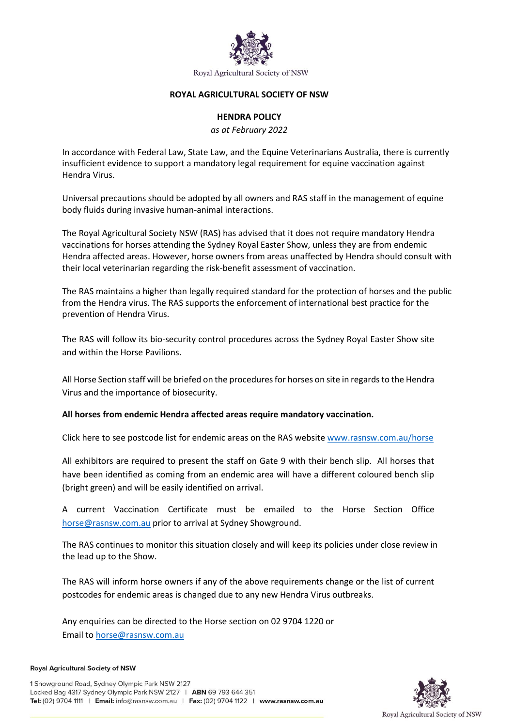

#### **ROYAL AGRICULTURAL SOCIETY OF NSW**

### **HENDRA POLICY**

*as at February 2022*

In accordance with Federal Law, State Law, and the Equine Veterinarians Australia, there is currently insufficient evidence to support a mandatory legal requirement for equine vaccination against Hendra Virus.

Universal precautions should be adopted by all owners and RAS staff in the management of equine body fluids during invasive human-animal interactions.

The Royal Agricultural Society NSW (RAS) has advised that it does not require mandatory Hendra vaccinations for horses attending the Sydney Royal Easter Show, unless they are from endemic Hendra affected areas. However, horse owners from areas unaffected by Hendra should consult with their local veterinarian regarding the risk-benefit assessment of vaccination.

The RAS maintains a higher than legally required standard for the protection of horses and the public from the Hendra virus. The RAS supports the enforcement of international best practice for the prevention of Hendra Virus.

The RAS will follow its bio-security control procedures across the Sydney Royal Easter Show site and within the Horse Pavilions.

All Horse Section staff will be briefed on the procedures for horses on site in regards to the Hendra Virus and the importance of biosecurity.

**All horses from endemic Hendra affected areas require mandatory vaccination.** 

Click here to see postcode list for endemic areas on the RAS website [www.rasnsw.com.au/horse](http://www.rasnsw.com.au/horse)

All exhibitors are required to present the staff on Gate 9 with their bench slip. All horses that have been identified as coming from an endemic area will have a different coloured bench slip (bright green) and will be easily identified on arrival.

A current Vaccination Certificate must be emailed to the Horse Section Office [horse@rasnsw.com.au](mailto:horse@rasnsw.com.au) prior to arrival at Sydney Showground.

The RAS continues to monitor this situation closely and will keep its policies under close review in the lead up to the Show.

The RAS will inform horse owners if any of the above requirements change or the list of current postcodes for endemic areas is changed due to any new Hendra Virus outbreaks.

Any enquiries can be directed to the Horse section on 02 9704 1220 or Email to [horse@rasnsw.com.au](mailto:horse@rasnsw.com.au)

**Royal Agricultural Society of NSW**